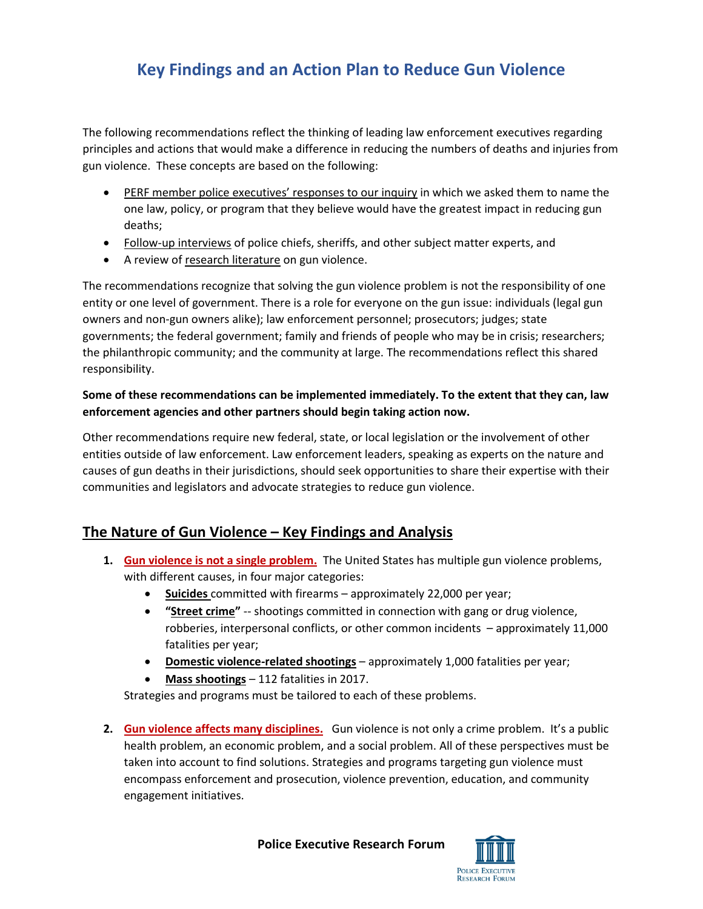# **Key Findings and an Action Plan to Reduce Gun Violence**

The following recommendations reflect the thinking of leading law enforcement executives regarding principles and actions that would make a difference in reducing the numbers of deaths and injuries from gun violence. These concepts are based on the following:

- PERF member police executives' responses to our inquiry in which we asked them to name the one law, policy, or program that they believe would have the greatest impact in reducing gun deaths;
- Follow-up interviews of police chiefs, sheriffs, and other subject matter experts, and
- A review of research literature on gun violence.

The recommendations recognize that solving the gun violence problem is not the responsibility of one entity or one level of government. There is a role for everyone on the gun issue: individuals (legal gun owners and non-gun owners alike); law enforcement personnel; prosecutors; judges; state governments; the federal government; family and friends of people who may be in crisis; researchers; the philanthropic community; and the community at large. The recommendations reflect this shared responsibility.

### **Some of these recommendations can be implemented immediately. To the extent that they can, law enforcement agencies and other partners should begin taking action now.**

Other recommendations require new federal, state, or local legislation or the involvement of other entities outside of law enforcement. Law enforcement leaders, speaking as experts on the nature and causes of gun deaths in their jurisdictions, should seek opportunities to share their expertise with their communities and legislators and advocate strategies to reduce gun violence.

### **The Nature of Gun Violence – Key Findings and Analysis**

- **1. Gun violence is not a single problem.** The United States has multiple gun violence problems, with different causes, in four major categories:
	- **Suicides** committed with firearms approximately 22,000 per year;
	- **"Street crime"** -- shootings committed in connection with gang or drug violence, robberies, interpersonal conflicts, or other common incidents – approximately 11,000 fatalities per year;
	- **Domestic violence-related shootings** approximately 1,000 fatalities per year;
	- **Mass shootings** 112 fatalities in 2017.

Strategies and programs must be tailored to each of these problems.

**2. Gun violence affects many disciplines.** Gun violence is not only a crime problem. It's a public health problem, an economic problem, and a social problem. All of these perspectives must be taken into account to find solutions. Strategies and programs targeting gun violence must encompass enforcement and prosecution, violence prevention, education, and community engagement initiatives.

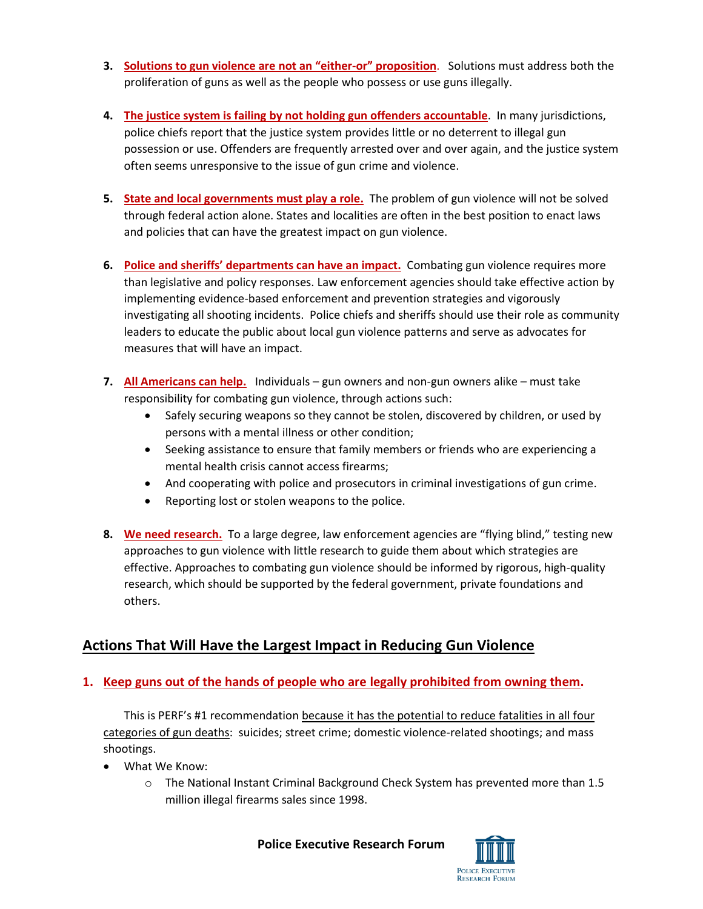- **3. Solutions to gun violence are not an "either-or" proposition**. Solutions must address both the proliferation of guns as well as the people who possess or use guns illegally.
- **4. The justice system is failing by not holding gun offenders accountable**. In many jurisdictions, police chiefs report that the justice system provides little or no deterrent to illegal gun possession or use. Offenders are frequently arrested over and over again, and the justice system often seems unresponsive to the issue of gun crime and violence.
- **5. State and local governments must play a role.** The problem of gun violence will not be solved through federal action alone. States and localities are often in the best position to enact laws and policies that can have the greatest impact on gun violence.
- **6. Police and sheriffs' departments can have an impact.** Combating gun violence requires more than legislative and policy responses. Law enforcement agencies should take effective action by implementing evidence-based enforcement and prevention strategies and vigorously investigating all shooting incidents. Police chiefs and sheriffs should use their role as community leaders to educate the public about local gun violence patterns and serve as advocates for measures that will have an impact.
- **7. All Americans can help.** Individuals gun owners and non-gun owners alike must take responsibility for combating gun violence, through actions such:
	- Safely securing weapons so they cannot be stolen, discovered by children, or used by persons with a mental illness or other condition;
	- Seeking assistance to ensure that family members or friends who are experiencing a mental health crisis cannot access firearms;
	- And cooperating with police and prosecutors in criminal investigations of gun crime.
	- Reporting lost or stolen weapons to the police.
- **8. We need research.** To a large degree, law enforcement agencies are "flying blind," testing new approaches to gun violence with little research to guide them about which strategies are effective. Approaches to combating gun violence should be informed by rigorous, high-quality research, which should be supported by the federal government, private foundations and others.

## **Actions That Will Have the Largest Impact in Reducing Gun Violence**

### **1. Keep guns out of the hands of people who are legally prohibited from owning them.**

This is PERF's #1 recommendation because it has the potential to reduce fatalities in all four categories of gun deaths: suicides; street crime; domestic violence-related shootings; and mass shootings.

- What We Know:
	- $\circ$  The National Instant Criminal Background Check System has prevented more than 1.5 million illegal firearms sales since 1998.

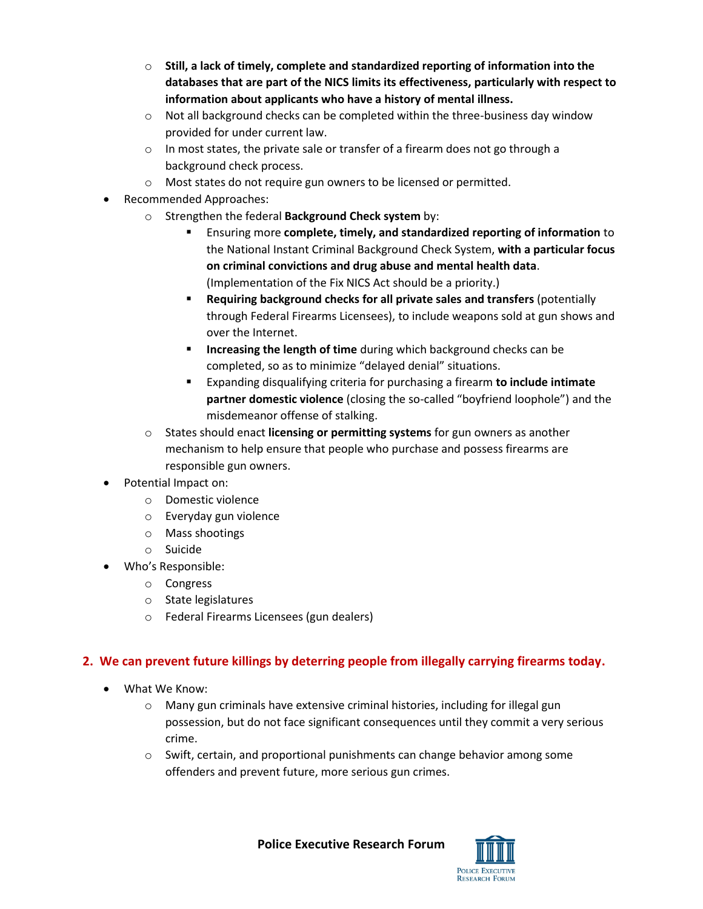- o **Still, a lack of timely, complete and standardized reporting of information into the databases that are part of the NICS limits its effectiveness, particularly with respect to information about applicants who have a history of mental illness.**
- $\circ$  Not all background checks can be completed within the three-business day window provided for under current law.
- $\circ$  In most states, the private sale or transfer of a firearm does not go through a background check process.
- o Most states do not require gun owners to be licensed or permitted.
- Recommended Approaches:
	- o Strengthen the federal **Background Check system** by:
		- Ensuring more **complete, timely, and standardized reporting of information** to the National Instant Criminal Background Check System, **with a particular focus on criminal convictions and drug abuse and mental health data**. (Implementation of the Fix NICS Act should be a priority.)
		- **Requiring background checks for all private sales and transfers** (potentially through Federal Firearms Licensees), to include weapons sold at gun shows and over the Internet.
		- **Increasing the length of time** during which background checks can be completed, so as to minimize "delayed denial" situations.
		- Expanding disqualifying criteria for purchasing a firearm **to include intimate partner domestic violence** (closing the so-called "boyfriend loophole") and the misdemeanor offense of stalking.
	- o States should enact **licensing or permitting systems** for gun owners as another mechanism to help ensure that people who purchase and possess firearms are responsible gun owners.
- Potential Impact on:
	- o Domestic violence
	- o Everyday gun violence
	- o Mass shootings
	- o Suicide
- Who's Responsible:
	- o Congress
	- o State legislatures
	- o Federal Firearms Licensees (gun dealers)

#### **2. We can prevent future killings by deterring people from illegally carrying firearms today.**

- What We Know:
	- Many gun criminals have extensive criminal histories, including for illegal gun possession, but do not face significant consequences until they commit a very serious crime.
	- $\circ$  Swift, certain, and proportional punishments can change behavior among some offenders and prevent future, more serious gun crimes.

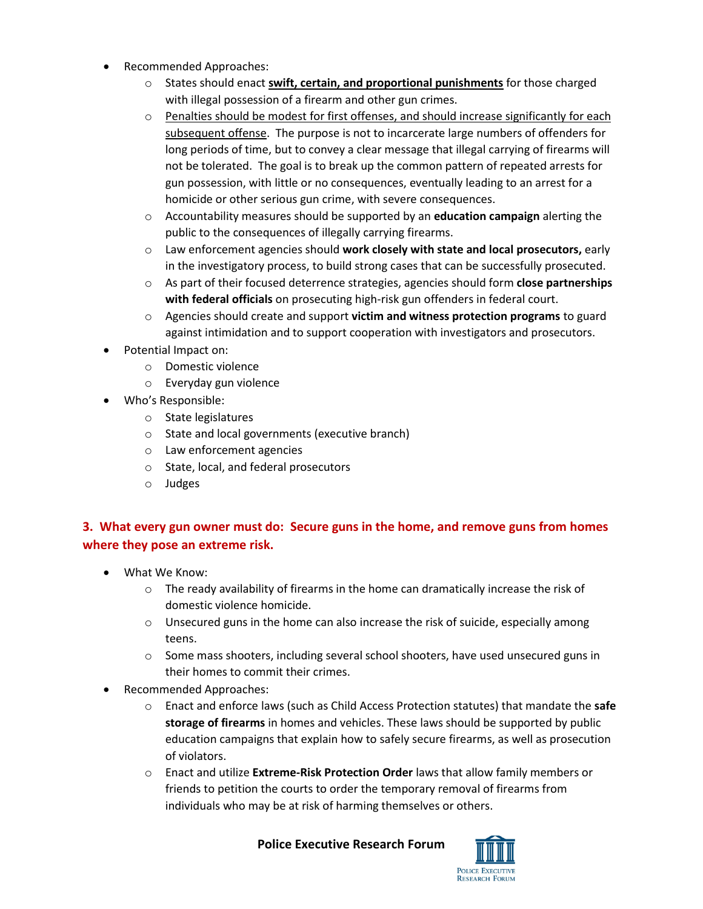- Recommended Approaches:
	- o States should enact **swift, certain, and proportional punishments** for those charged with illegal possession of a firearm and other gun crimes.
	- $\circ$  Penalties should be modest for first offenses, and should increase significantly for each subsequent offense. The purpose is not to incarcerate large numbers of offenders for long periods of time, but to convey a clear message that illegal carrying of firearms will not be tolerated. The goal is to break up the common pattern of repeated arrests for gun possession, with little or no consequences, eventually leading to an arrest for a homicide or other serious gun crime, with severe consequences.
	- o Accountability measures should be supported by an **education campaign** alerting the public to the consequences of illegally carrying firearms.
	- o Law enforcement agencies should **work closely with state and local prosecutors,** early in the investigatory process, to build strong cases that can be successfully prosecuted.
	- o As part of their focused deterrence strategies, agencies should form **close partnerships with federal officials** on prosecuting high-risk gun offenders in federal court.
	- o Agencies should create and support **victim and witness protection programs** to guard against intimidation and to support cooperation with investigators and prosecutors.
- Potential Impact on:
	- o Domestic violence
	- o Everyday gun violence
- Who's Responsible:
	- o State legislatures
	- o State and local governments (executive branch)
	- o Law enforcement agencies
	- o State, local, and federal prosecutors
	- o Judges

### **3. What every gun owner must do: Secure guns in the home, and remove guns from homes where they pose an extreme risk.**

- What We Know:
	- $\circ$  The ready availability of firearms in the home can dramatically increase the risk of domestic violence homicide.
	- $\circ$  Unsecured guns in the home can also increase the risk of suicide, especially among teens.
	- o Some mass shooters, including several school shooters, have used unsecured guns in their homes to commit their crimes.
- Recommended Approaches:
	- o Enact and enforce laws (such as Child Access Protection statutes) that mandate the **safe storage of firearms** in homes and vehicles. These laws should be supported by public education campaigns that explain how to safely secure firearms, as well as prosecution of violators.
	- o Enact and utilize **Extreme-Risk Protection Order** laws that allow family members or friends to petition the courts to order the temporary removal of firearms from individuals who may be at risk of harming themselves or others.

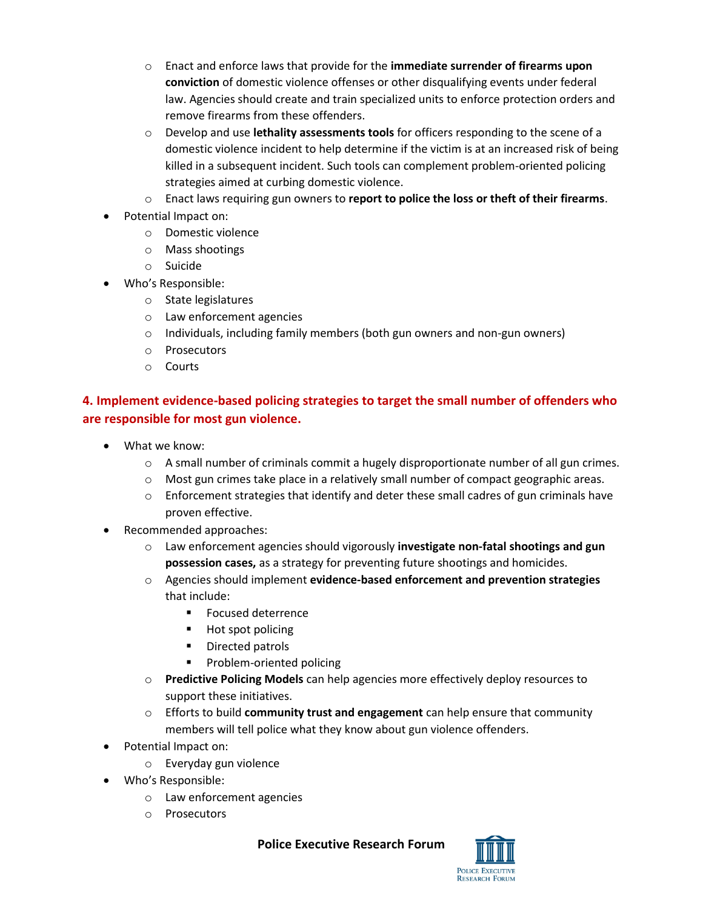- o Enact and enforce laws that provide for the **immediate surrender of firearms upon conviction** of domestic violence offenses or other disqualifying events under federal law. Agencies should create and train specialized units to enforce protection orders and remove firearms from these offenders.
- o Develop and use **lethality assessments tools** for officers responding to the scene of a domestic violence incident to help determine if the victim is at an increased risk of being killed in a subsequent incident. Such tools can complement problem-oriented policing strategies aimed at curbing domestic violence.
- o Enact laws requiring gun owners to **report to police the loss or theft of their firearms**.
- Potential Impact on:
	- o Domestic violence
	- o Mass shootings
	- o Suicide
- Who's Responsible:
	- o State legislatures
	- o Law enforcement agencies
	- o Individuals, including family members (both gun owners and non-gun owners)
	- o Prosecutors
	- o Courts

### **4. Implement evidence-based policing strategies to target the small number of offenders who are responsible for most gun violence.**

- What we know:
	- $\circ$  A small number of criminals commit a hugely disproportionate number of all gun crimes.
	- $\circ$  Most gun crimes take place in a relatively small number of compact geographic areas.
	- $\circ$  Enforcement strategies that identify and deter these small cadres of gun criminals have proven effective.
- Recommended approaches:
	- o Law enforcement agencies should vigorously **investigate non-fatal shootings and gun possession cases,** as a strategy for preventing future shootings and homicides.
	- o Agencies should implement **evidence-based enforcement and prevention strategies**  that include:
		- Focused deterrence
		- Hot spot policing
		- Directed patrols
		- Problem-oriented policing
	- o **Predictive Policing Models** can help agencies more effectively deploy resources to support these initiatives.
	- o Efforts to build **community trust and engagement** can help ensure that community members will tell police what they know about gun violence offenders.
- Potential Impact on:
	- o Everyday gun violence
- Who's Responsible:
	- o Law enforcement agencies
	- o Prosecutors

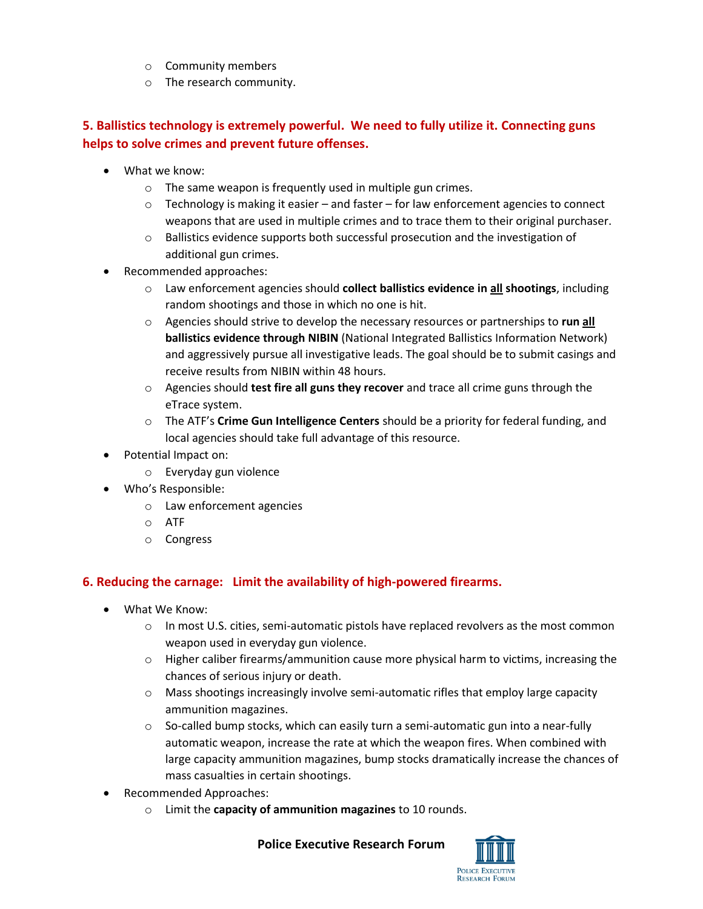- o Community members
- o The research community.

### **5. Ballistics technology is extremely powerful. We need to fully utilize it. Connecting guns helps to solve crimes and prevent future offenses.**

- What we know:
	- o The same weapon is frequently used in multiple gun crimes.
	- $\circ$  Technology is making it easier and faster for law enforcement agencies to connect weapons that are used in multiple crimes and to trace them to their original purchaser.
	- o Ballistics evidence supports both successful prosecution and the investigation of additional gun crimes.
- Recommended approaches:
	- o Law enforcement agencies should **collect ballistics evidence in all shootings**, including random shootings and those in which no one is hit.
	- o Agencies should strive to develop the necessary resources or partnerships to **run all ballistics evidence through NIBIN** (National Integrated Ballistics Information Network) and aggressively pursue all investigative leads. The goal should be to submit casings and receive results from NIBIN within 48 hours.
	- o Agencies should **test fire all guns they recover** and trace all crime guns through the eTrace system.
	- o The ATF's **Crime Gun Intelligence Centers** should be a priority for federal funding, and local agencies should take full advantage of this resource.
- Potential Impact on:
	- o Everyday gun violence
	- Who's Responsible:
		- o Law enforcement agencies
		- o ATF
		- o Congress

#### **6. Reducing the carnage: Limit the availability of high-powered firearms.**

- What We Know:
	- $\circ$  In most U.S. cities, semi-automatic pistols have replaced revolvers as the most common weapon used in everyday gun violence.
	- $\circ$  Higher caliber firearms/ammunition cause more physical harm to victims, increasing the chances of serious injury or death.
	- $\circ$  Mass shootings increasingly involve semi-automatic rifles that employ large capacity ammunition magazines.
	- $\circ$  So-called bump stocks, which can easily turn a semi-automatic gun into a near-fully automatic weapon, increase the rate at which the weapon fires. When combined with large capacity ammunition magazines, bump stocks dramatically increase the chances of mass casualties in certain shootings.
- Recommended Approaches:
	- o Limit the **capacity of ammunition magazines** to 10 rounds.

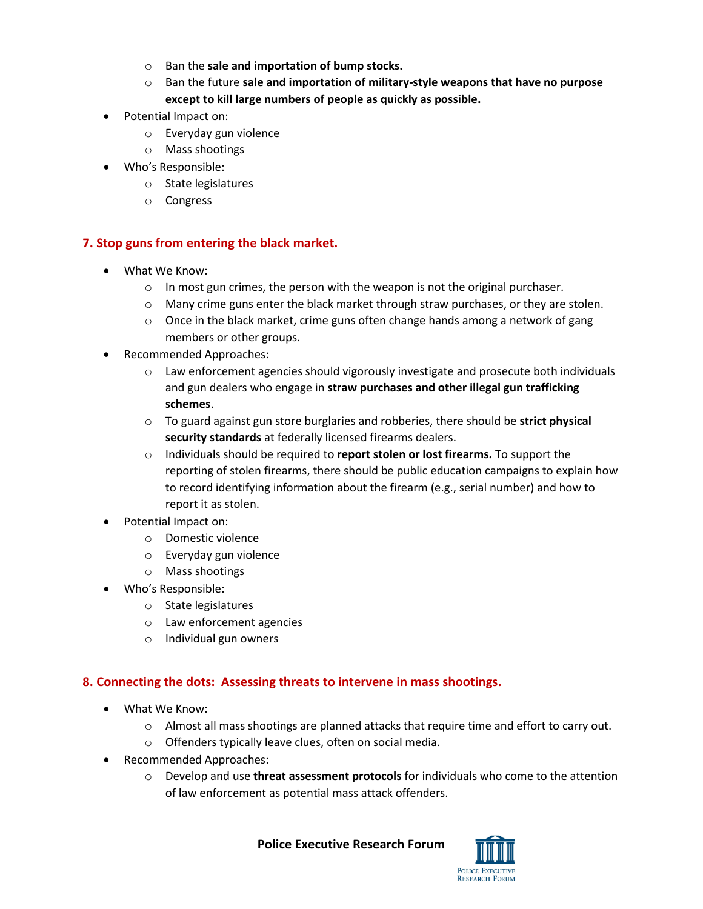- o Ban the **sale and importation of bump stocks.**
- o Ban the future **sale and importation of military-style weapons that have no purpose except to kill large numbers of people as quickly as possible.**
- Potential Impact on:
	- o Everyday gun violence
	- o Mass shootings
- Who's Responsible:
	- o State legislatures
	- o Congress

### **7. Stop guns from entering the black market.**

- What We Know:
	- $\circ$  In most gun crimes, the person with the weapon is not the original purchaser.
	- $\circ$  Many crime guns enter the black market through straw purchases, or they are stolen.
	- $\circ$  Once in the black market, crime guns often change hands among a network of gang members or other groups.
- Recommended Approaches:
	- $\circ$  Law enforcement agencies should vigorously investigate and prosecute both individuals and gun dealers who engage in **straw purchases and other illegal gun trafficking schemes**.
	- o To guard against gun store burglaries and robberies, there should be **strict physical security standards** at federally licensed firearms dealers.
	- o Individuals should be required to **report stolen or lost firearms.** To support the reporting of stolen firearms, there should be public education campaigns to explain how to record identifying information about the firearm (e.g., serial number) and how to report it as stolen.
- Potential Impact on:
	- o Domestic violence
	- o Everyday gun violence
	- o Mass shootings
- Who's Responsible:
	- o State legislatures
	- o Law enforcement agencies
	- o Individual gun owners

#### **8. Connecting the dots: Assessing threats to intervene in mass shootings.**

- What We Know:
	- o Almost all mass shootings are planned attacks that require time and effort to carry out.
	- o Offenders typically leave clues, often on social media.
- Recommended Approaches:
	- o Develop and use **threat assessment protocols** for individuals who come to the attention of law enforcement as potential mass attack offenders.